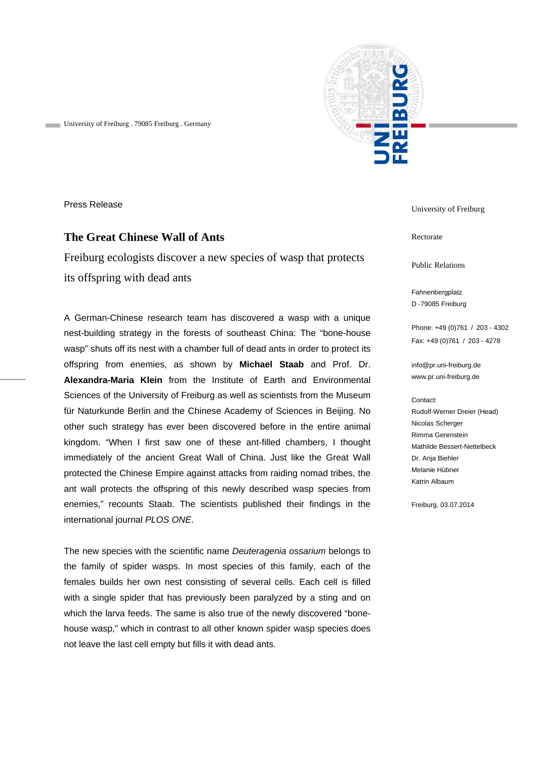

University of Freiburg . 79085 Freiburg . Germany

Press Release

## **The Great Chinese Wall of Ants**

Freiburg ecologists discover a new species of wasp that protects its offspring with dead ants

A German-Chinese research team has discovered a wasp with a unique nest-building strategy in the forests of southeast China: The "bone-house wasp" shuts off its nest with a chamber full of dead ants in order to protect its offspring from enemies, as shown by **Michael Staab** and Prof. Dr. **Alexandra-Maria Klein** from the Institute of Earth and Environmental Sciences of the University of Freiburg as well as scientists from the Museum für Naturkunde Berlin and the Chinese Academy of Sciences in Beijing. No other such strategy has ever been discovered before in the entire animal kingdom. "When I first saw one of these ant-filled chambers, I thought immediately of the ancient Great Wall of China. Just like the Great Wall protected the Chinese Empire against attacks from raiding nomad tribes, the ant wall protects the offspring of this newly described wasp species from enemies," recounts Staab. The scientists published their findings in the international journal *PLOS ONE*.

The new species with the scientific name *Deuteragenia ossarium* belongs to the family of spider wasps. In most species of this family, each of the females builds her own nest consisting of several cells. Each cell is filled with a single spider that has previously been paralyzed by a sting and on which the larva feeds. The same is also true of the newly discovered "bonehouse wasp," which in contrast to all other known spider wasp species does not leave the last cell empty but fills it with dead ants.

University of Freiburg

Rectorate

Public Relations

Fahnenbergplatz D -79085 Freiburg

Phone: +49 (0)761 / 203 - 4302 Fax: +49 (0)761 / 203 - 4278

info@pr.uni-freiburg.de www.pr.uni-freiburg.de

Contact:

Rudolf-Werner Dreier (Head) Nicolas Scherger Rimma Gerenstein Mathilde Bessert-Nettelbeck Dr. Anja Biehler Melanie Hübner Katrin Albaum

Freiburg, 03.07.2014